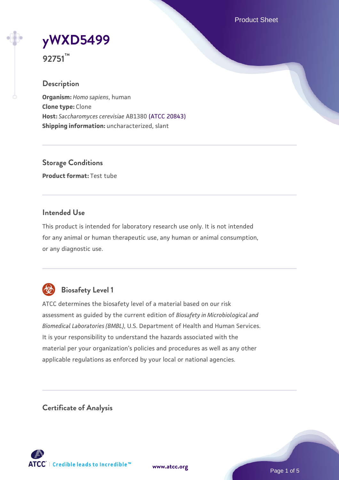Product Sheet



**92751™**

## **Description**

**Organism:** *Homo sapiens*, human **Clone type:** Clone **Host:** *Saccharomyces cerevisiae* AB1380 [\(ATCC 20843\)](https://www.atcc.org/products/20843) **Shipping information:** uncharacterized, slant

**Storage Conditions Product format:** Test tube

## **Intended Use**

This product is intended for laboratory research use only. It is not intended for any animal or human therapeutic use, any human or animal consumption, or any diagnostic use.



# **Biosafety Level 1**

ATCC determines the biosafety level of a material based on our risk assessment as guided by the current edition of *Biosafety in Microbiological and Biomedical Laboratories (BMBL)*, U.S. Department of Health and Human Services. It is your responsibility to understand the hazards associated with the material per your organization's policies and procedures as well as any other applicable regulations as enforced by your local or national agencies.

**Certificate of Analysis**

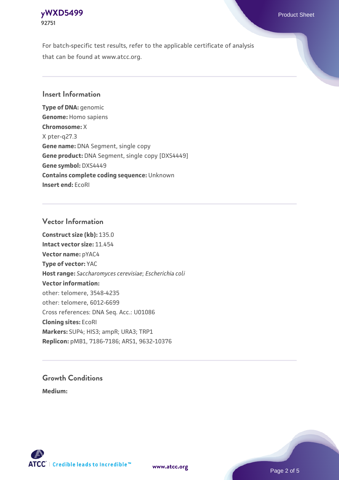### **[yWXD5499](https://www.atcc.org/products/92751)** Product Sheet **92751**

For batch-specific test results, refer to the applicable certificate of analysis that can be found at www.atcc.org.

## **Insert Information**

**Type of DNA:** genomic **Genome:** Homo sapiens **Chromosome:** X X pter-q27.3 **Gene name:** DNA Segment, single copy **Gene product:** DNA Segment, single copy [DXS4449] **Gene symbol:** DXS4449 **Contains complete coding sequence:** Unknown **Insert end:** EcoRI

## **Vector Information**

**Construct size (kb):** 135.0 **Intact vector size:** 11.454 **Vector name:** pYAC4 **Type of vector:** YAC **Host range:** *Saccharomyces cerevisiae*; *Escherichia coli* **Vector information:** other: telomere, 3548-4235 other: telomere, 6012-6699 Cross references: DNA Seq. Acc.: U01086 **Cloning sites:** EcoRI **Markers:** SUP4; HIS3; ampR; URA3; TRP1 **Replicon:** pMB1, 7186-7186; ARS1, 9632-10376

# **Growth Conditions**

**Medium:** 



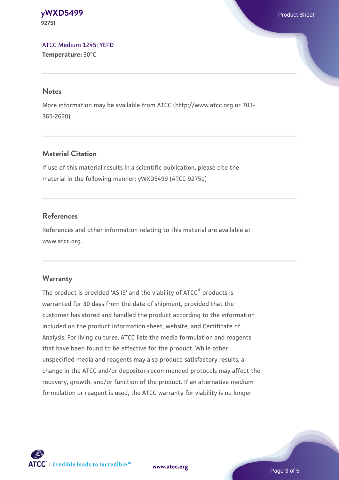#### **[yWXD5499](https://www.atcc.org/products/92751)** Product Sheet **92751**

[ATCC Medium 1245: YEPD](https://www.atcc.org/-/media/product-assets/documents/microbial-media-formulations/1/2/4/5/atcc-medium-1245.pdf?rev=705ca55d1b6f490a808a965d5c072196) **Temperature:** 30°C

#### **Notes**

More information may be available from ATCC (http://www.atcc.org or 703- 365-2620).

# **Material Citation**

If use of this material results in a scientific publication, please cite the material in the following manner: yWXD5499 (ATCC 92751)

# **References**

References and other information relating to this material are available at www.atcc.org.

# **Warranty**

The product is provided 'AS IS' and the viability of ATCC® products is warranted for 30 days from the date of shipment, provided that the customer has stored and handled the product according to the information included on the product information sheet, website, and Certificate of Analysis. For living cultures, ATCC lists the media formulation and reagents that have been found to be effective for the product. While other unspecified media and reagents may also produce satisfactory results, a change in the ATCC and/or depositor-recommended protocols may affect the recovery, growth, and/or function of the product. If an alternative medium formulation or reagent is used, the ATCC warranty for viability is no longer



**[www.atcc.org](http://www.atcc.org)**

Page 3 of 5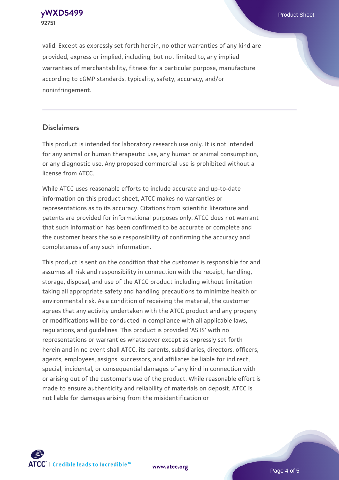**92751**

valid. Except as expressly set forth herein, no other warranties of any kind are provided, express or implied, including, but not limited to, any implied warranties of merchantability, fitness for a particular purpose, manufacture according to cGMP standards, typicality, safety, accuracy, and/or noninfringement.

#### **Disclaimers**

This product is intended for laboratory research use only. It is not intended for any animal or human therapeutic use, any human or animal consumption, or any diagnostic use. Any proposed commercial use is prohibited without a license from ATCC.

While ATCC uses reasonable efforts to include accurate and up-to-date information on this product sheet, ATCC makes no warranties or representations as to its accuracy. Citations from scientific literature and patents are provided for informational purposes only. ATCC does not warrant that such information has been confirmed to be accurate or complete and the customer bears the sole responsibility of confirming the accuracy and completeness of any such information.

This product is sent on the condition that the customer is responsible for and assumes all risk and responsibility in connection with the receipt, handling, storage, disposal, and use of the ATCC product including without limitation taking all appropriate safety and handling precautions to minimize health or environmental risk. As a condition of receiving the material, the customer agrees that any activity undertaken with the ATCC product and any progeny or modifications will be conducted in compliance with all applicable laws, regulations, and guidelines. This product is provided 'AS IS' with no representations or warranties whatsoever except as expressly set forth herein and in no event shall ATCC, its parents, subsidiaries, directors, officers, agents, employees, assigns, successors, and affiliates be liable for indirect, special, incidental, or consequential damages of any kind in connection with or arising out of the customer's use of the product. While reasonable effort is made to ensure authenticity and reliability of materials on deposit, ATCC is not liable for damages arising from the misidentification or



**[www.atcc.org](http://www.atcc.org)**

Page 4 of 5